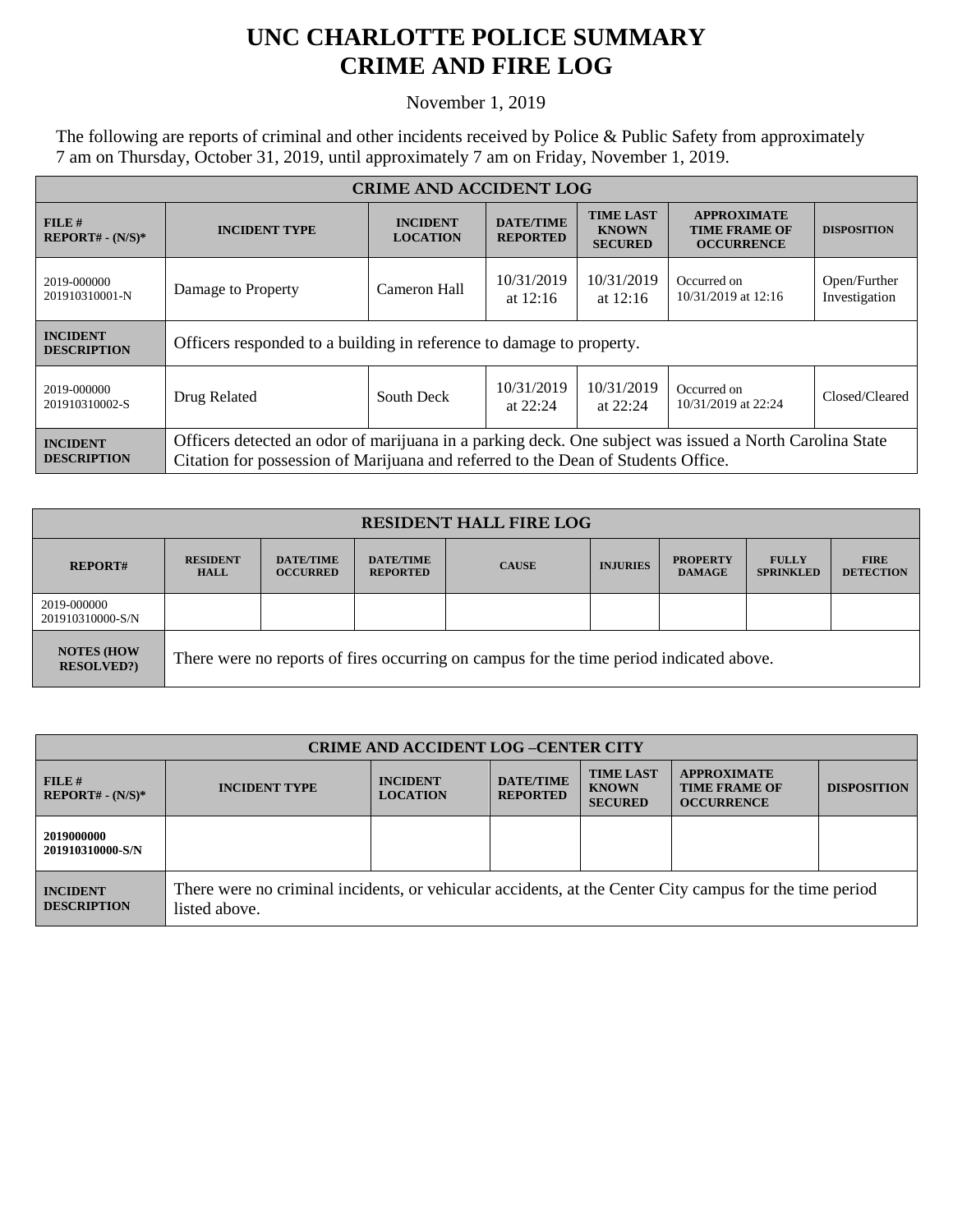## **UNC CHARLOTTE POLICE SUMMARY CRIME AND FIRE LOG**

November 1, 2019

The following are reports of criminal and other incidents received by Police & Public Safety from approximately 7 am on Thursday, October 31, 2019, until approximately 7 am on Friday, November 1, 2019.

| <b>CRIME AND ACCIDENT LOG</b>         |                                                                                                                                                                                              |                                    |                                     |                                                    |                                                                 |                               |
|---------------------------------------|----------------------------------------------------------------------------------------------------------------------------------------------------------------------------------------------|------------------------------------|-------------------------------------|----------------------------------------------------|-----------------------------------------------------------------|-------------------------------|
| FILE#<br>$REPORT# - (N/S)*$           | <b>INCIDENT TYPE</b>                                                                                                                                                                         | <b>INCIDENT</b><br><b>LOCATION</b> | <b>DATE/TIME</b><br><b>REPORTED</b> | <b>TIME LAST</b><br><b>KNOWN</b><br><b>SECURED</b> | <b>APPROXIMATE</b><br><b>TIME FRAME OF</b><br><b>OCCURRENCE</b> | <b>DISPOSITION</b>            |
| 2019-000000<br>201910310001-N         | Damage to Property                                                                                                                                                                           | Cameron Hall                       | 10/31/2019<br>at $12:16$            | 10/31/2019<br>at $12:16$                           | Occurred on<br>10/31/2019 at 12:16                              | Open/Further<br>Investigation |
| <b>INCIDENT</b><br><b>DESCRIPTION</b> | Officers responded to a building in reference to damage to property.                                                                                                                         |                                    |                                     |                                                    |                                                                 |                               |
| 2019-000000<br>201910310002-S         | Drug Related                                                                                                                                                                                 | South Deck                         | 10/31/2019<br>at $22:24$            | 10/31/2019<br>at $22:24$                           | Occurred on<br>10/31/2019 at 22:24                              | Closed/Cleared                |
| <b>INCIDENT</b><br><b>DESCRIPTION</b> | Officers detected an odor of marijuana in a parking deck. One subject was issued a North Carolina State<br>Citation for possession of Marijuana and referred to the Dean of Students Office. |                                    |                                     |                                                    |                                                                 |                               |

| <b>RESIDENT HALL FIRE LOG</b>          |                                                                                         |                                     |                                     |              |                 |                                  |                                  |                                 |
|----------------------------------------|-----------------------------------------------------------------------------------------|-------------------------------------|-------------------------------------|--------------|-----------------|----------------------------------|----------------------------------|---------------------------------|
| <b>REPORT#</b>                         | <b>RESIDENT</b><br><b>HALL</b>                                                          | <b>DATE/TIME</b><br><b>OCCURRED</b> | <b>DATE/TIME</b><br><b>REPORTED</b> | <b>CAUSE</b> | <b>INJURIES</b> | <b>PROPERTY</b><br><b>DAMAGE</b> | <b>FULLY</b><br><b>SPRINKLED</b> | <b>FIRE</b><br><b>DETECTION</b> |
| 2019-000000<br>201910310000-S/N        |                                                                                         |                                     |                                     |              |                 |                                  |                                  |                                 |
| <b>NOTES (HOW</b><br><b>RESOLVED?)</b> | There were no reports of fires occurring on campus for the time period indicated above. |                                     |                                     |              |                 |                                  |                                  |                                 |

| <b>CRIME AND ACCIDENT LOG-CENTER CITY</b> |                                                                                                                          |                                    |                                     |                                                    |                                                                 |                    |
|-------------------------------------------|--------------------------------------------------------------------------------------------------------------------------|------------------------------------|-------------------------------------|----------------------------------------------------|-----------------------------------------------------------------|--------------------|
| $FILE$ #<br>$REPORT# - (N/S)*$            | <b>INCIDENT TYPE</b>                                                                                                     | <b>INCIDENT</b><br><b>LOCATION</b> | <b>DATE/TIME</b><br><b>REPORTED</b> | <b>TIME LAST</b><br><b>KNOWN</b><br><b>SECURED</b> | <b>APPROXIMATE</b><br><b>TIME FRAME OF</b><br><b>OCCURRENCE</b> | <b>DISPOSITION</b> |
| 2019000000<br>201910310000-S/N            |                                                                                                                          |                                    |                                     |                                                    |                                                                 |                    |
| <b>INCIDENT</b><br><b>DESCRIPTION</b>     | There were no criminal incidents, or vehicular accidents, at the Center City campus for the time period<br>listed above. |                                    |                                     |                                                    |                                                                 |                    |